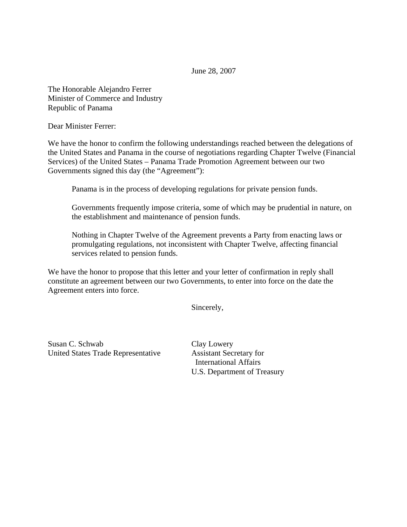June 28, 2007

The Honorable Alejandro Ferrer Minister of Commerce and Industry Republic of Panama

Dear Minister Ferrer:

We have the honor to confirm the following understandings reached between the delegations of the United States and Panama in the course of negotiations regarding Chapter Twelve (Financial Services) of the United States – Panama Trade Promotion Agreement between our two Governments signed this day (the "Agreement"):

Panama is in the process of developing regulations for private pension funds.

Governments frequently impose criteria, some of which may be prudential in nature, on the establishment and maintenance of pension funds.

Nothing in Chapter Twelve of the Agreement prevents a Party from enacting laws or promulgating regulations, not inconsistent with Chapter Twelve, affecting financial services related to pension funds.

We have the honor to propose that this letter and your letter of confirmation in reply shall constitute an agreement between our two Governments, to enter into force on the date the Agreement enters into force.

Sincerely,

Susan C. Schwab Clay Lowery United States Trade Representative Assistant Secretary for

 International Affairs U.S. Department of Treasury